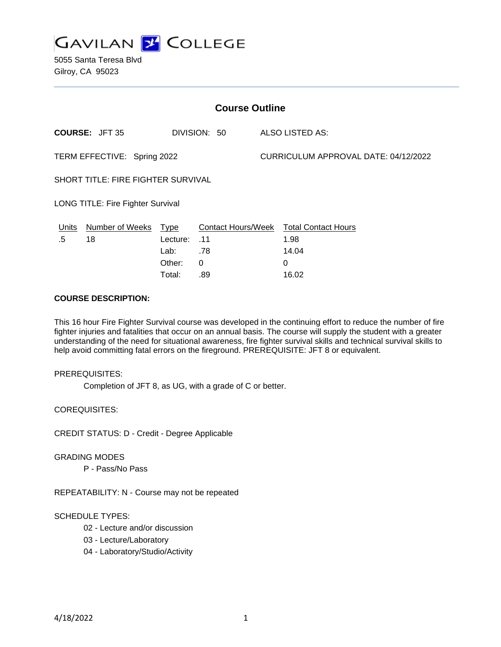

| <b>Course Outline</b>                     |                 |              |                           |                                      |                            |
|-------------------------------------------|-----------------|--------------|---------------------------|--------------------------------------|----------------------------|
| <b>COURSE: JFT 35</b>                     |                 | DIVISION: 50 | <b>ALSO LISTED AS:</b>    |                                      |                            |
| TERM EFFECTIVE: Spring 2022               |                 |              |                           | CURRICULUM APPROVAL DATE: 04/12/2022 |                            |
| <b>SHORT TITLE: FIRE FIGHTER SURVIVAL</b> |                 |              |                           |                                      |                            |
| <b>LONG TITLE: Fire Fighter Survival</b>  |                 |              |                           |                                      |                            |
| Units                                     | Number of Weeks | Type         | <b>Contact Hours/Week</b> |                                      | <b>Total Contact Hours</b> |
| .5                                        | 18              | Lecture:     | .11                       |                                      | 1.98                       |
|                                           |                 | Lab:         | .78                       |                                      | 14.04                      |
|                                           |                 | Other:       | 0                         |                                      | 0                          |
|                                           |                 | Total:       | .89                       |                                      | 16.02                      |

#### **COURSE DESCRIPTION:**

This 16 hour Fire Fighter Survival course was developed in the continuing effort to reduce the number of fire fighter injuries and fatalities that occur on an annual basis. The course will supply the student with a greater understanding of the need for situational awareness, fire fighter survival skills and technical survival skills to help avoid committing fatal errors on the fireground. PREREQUISITE: JFT 8 or equivalent.

#### PREREQUISITES:

Completion of JFT 8, as UG, with a grade of C or better.

COREQUISITES:

CREDIT STATUS: D - Credit - Degree Applicable

#### GRADING MODES

P - Pass/No Pass

REPEATABILITY: N - Course may not be repeated

#### SCHEDULE TYPES:

- 02 Lecture and/or discussion
- 03 Lecture/Laboratory
- 04 Laboratory/Studio/Activity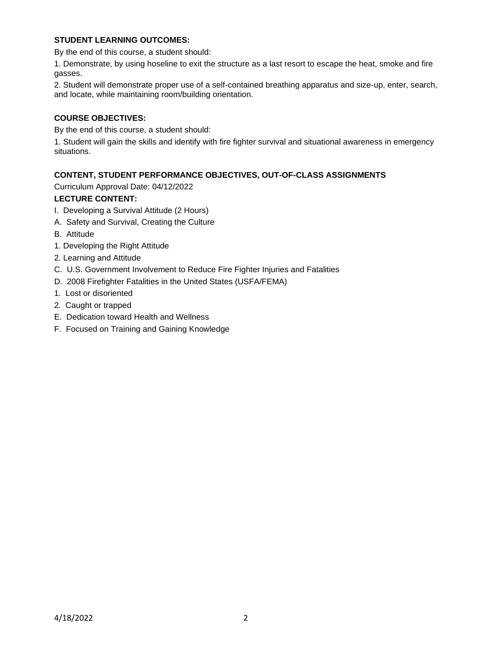## **STUDENT LEARNING OUTCOMES:**

By the end of this course, a student should:

1. Demonstrate, by using hoseline to exit the structure as a last resort to escape the heat, smoke and fire gasses.

2. Student will demonstrate proper use of a self-contained breathing apparatus and size-up, enter, search, and locate, while maintaining room/building orientation.

### **COURSE OBJECTIVES:**

By the end of this course, a student should:

1. Student will gain the skills and identify with fire fighter survival and situational awareness in emergency situations.

# **CONTENT, STUDENT PERFORMANCE OBJECTIVES, OUT-OF-CLASS ASSIGNMENTS**

Curriculum Approval Date: 04/12/2022

# **LECTURE CONTENT:**

- I. Developing a Survival Attitude (2 Hours)
- A. Safety and Survival, Creating the Culture
- B. Attitude
- 1. Developing the Right Attitude
- 2. Learning and Attitude
- C. U.S. Government Involvement to Reduce Fire Fighter Injuries and Fatalities
- D. 2008 Firefighter Fatalities in the United States (USFA/FEMA)
- 1. Lost or disoriented
- 2. Caught or trapped
- E. Dedication toward Health and Wellness
- F. Focused on Training and Gaining Knowledge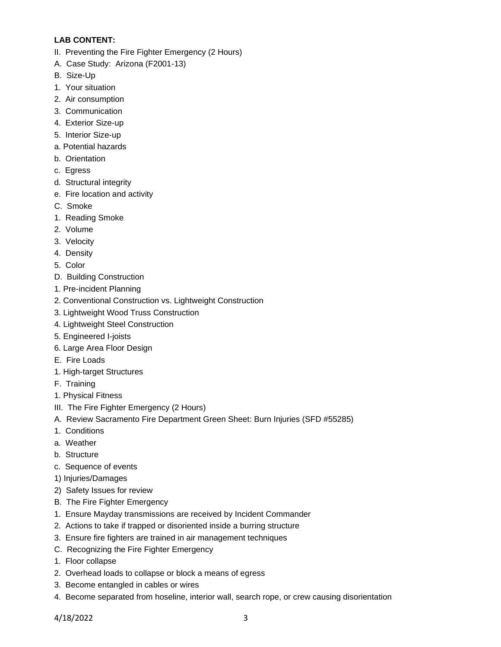# **LAB CONTENT:**

- II. Preventing the Fire Fighter Emergency (2 Hours)
- A. Case Study: Arizona (F2001-13)
- B. Size-Up
- 1. Your situation
- 2. Air consumption
- 3. Communication
- 4. Exterior Size-up
- 5. Interior Size-up
- a. Potential hazards
- b. Orientation
- c. Egress
- d. Structural integrity
- e. Fire location and activity
- C. Smoke
- 1. Reading Smoke
- 2. Volume
- 3. Velocity
- 4. Density
- 5. Color
- D. Building Construction
- 1. Pre-incident Planning
- 2. Conventional Construction vs. Lightweight Construction
- 3. Lightweight Wood Truss Construction
- 4. Lightweight Steel Construction
- 5. Engineered I-joists
- 6. Large Area Floor Design
- E. Fire Loads
- 1. High-target Structures
- F. Training
- 1. Physical Fitness
- III. The Fire Fighter Emergency (2 Hours)
- A. Review Sacramento Fire Department Green Sheet: Burn Injuries (SFD #55285)
- 1. Conditions
- a. Weather
- b. Structure
- c. Sequence of events
- 1) Injuries/Damages
- 2) Safety Issues for review
- B. The Fire Fighter Emergency
- 1. Ensure Mayday transmissions are received by Incident Commander
- 2. Actions to take if trapped or disoriented inside a burring structure
- 3. Ensure fire fighters are trained in air management techniques
- C. Recognizing the Fire Fighter Emergency
- 1. Floor collapse
- 2. Overhead loads to collapse or block a means of egress
- 3. Become entangled in cables or wires
- 4. Become separated from hoseline, interior wall, search rope, or crew causing disorientation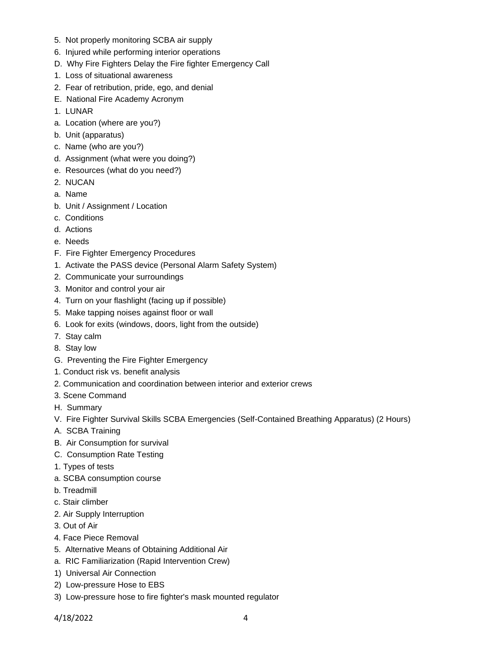- 5. Not properly monitoring SCBA air supply
- 6. Injured while performing interior operations
- D. Why Fire Fighters Delay the Fire fighter Emergency Call
- 1. Loss of situational awareness
- 2. Fear of retribution, pride, ego, and denial
- E. National Fire Academy Acronym
- 1. LUNAR
- a. Location (where are you?)
- b. Unit (apparatus)
- c. Name (who are you?)
- d. Assignment (what were you doing?)
- e. Resources (what do you need?)
- 2. NUCAN
- a. Name
- b. Unit / Assignment / Location
- c. Conditions
- d. Actions
- e. Needs
- F. Fire Fighter Emergency Procedures
- 1. Activate the PASS device (Personal Alarm Safety System)
- 2. Communicate your surroundings
- 3. Monitor and control your air
- 4. Turn on your flashlight (facing up if possible)
- 5. Make tapping noises against floor or wall
- 6. Look for exits (windows, doors, light from the outside)
- 7. Stay calm
- 8. Stay low
- G. Preventing the Fire Fighter Emergency
- 1. Conduct risk vs. benefit analysis
- 2. Communication and coordination between interior and exterior crews
- 3. Scene Command
- H. Summary
- V. Fire Fighter Survival Skills SCBA Emergencies (Self-Contained Breathing Apparatus) (2 Hours)
- A. SCBA Training
- B. Air Consumption for survival
- C. Consumption Rate Testing
- 1. Types of tests
- a. SCBA consumption course
- b. Treadmill
- c. Stair climber
- 2. Air Supply Interruption
- 3. Out of Air
- 4. Face Piece Removal
- 5. Alternative Means of Obtaining Additional Air
- a. RIC Familiarization (Rapid Intervention Crew)
- 1) Universal Air Connection
- 2) Low-pressure Hose to EBS
- 3) Low-pressure hose to fire fighter's mask mounted regulator

4/18/2022 4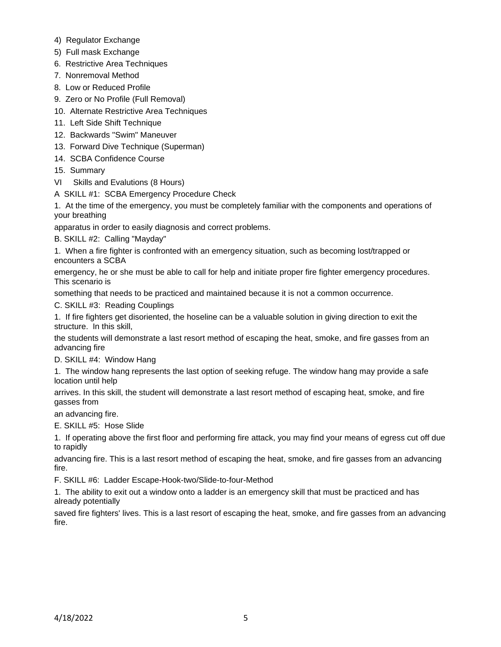- 4) Regulator Exchange
- 5) Full mask Exchange
- 6. Restrictive Area Techniques
- 7. Nonremoval Method
- 8. Low or Reduced Profile
- 9. Zero or No Profile (Full Removal)
- 10. Alternate Restrictive Area Techniques
- 11. Left Side Shift Technique
- 12. Backwards "Swim" Maneuver
- 13. Forward Dive Technique (Superman)
- 14. SCBA Confidence Course
- 15. Summary
- VI Skills and Evalutions (8 Hours)
- A SKILL #1: SCBA Emergency Procedure Check

1. At the time of the emergency, you must be completely familiar with the components and operations of your breathing

apparatus in order to easily diagnosis and correct problems.

B. SKILL #2: Calling "Mayday"

1. When a fire fighter is confronted with an emergency situation, such as becoming lost/trapped or encounters a SCBA

emergency, he or she must be able to call for help and initiate proper fire fighter emergency procedures. This scenario is

something that needs to be practiced and maintained because it is not a common occurrence.

C. SKILL #3: Reading Couplings

1. If fire fighters get disoriented, the hoseline can be a valuable solution in giving direction to exit the structure. In this skill,

the students will demonstrate a last resort method of escaping the heat, smoke, and fire gasses from an advancing fire

D. SKILL #4: Window Hang

1. The window hang represents the last option of seeking refuge. The window hang may provide a safe location until help

arrives. In this skill, the student will demonstrate a last resort method of escaping heat, smoke, and fire gasses from

an advancing fire.

E. SKILL #5: Hose Slide

1. If operating above the first floor and performing fire attack, you may find your means of egress cut off due to rapidly

advancing fire. This is a last resort method of escaping the heat, smoke, and fire gasses from an advancing fire.

F. SKILL #6: Ladder Escape-Hook-two/Slide-to-four-Method

1. The ability to exit out a window onto a ladder is an emergency skill that must be practiced and has already potentially

saved fire fighters' lives. This is a last resort of escaping the heat, smoke, and fire gasses from an advancing fire.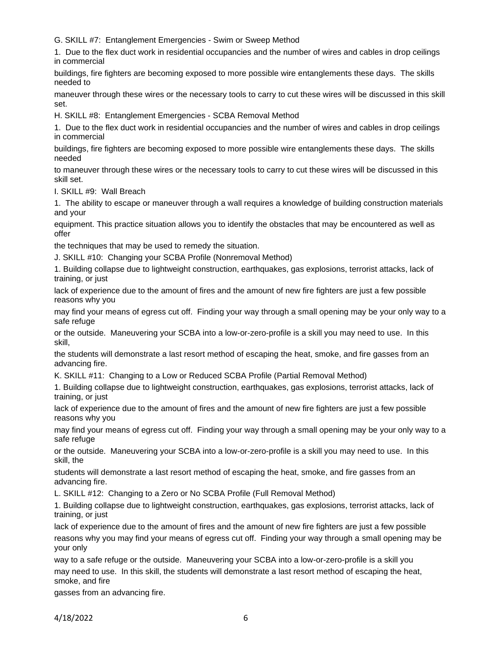G. SKILL #7: Entanglement Emergencies - Swim or Sweep Method

1. Due to the flex duct work in residential occupancies and the number of wires and cables in drop ceilings in commercial

buildings, fire fighters are becoming exposed to more possible wire entanglements these days. The skills needed to

maneuver through these wires or the necessary tools to carry to cut these wires will be discussed in this skill set.

H. SKILL #8: Entanglement Emergencies - SCBA Removal Method

1. Due to the flex duct work in residential occupancies and the number of wires and cables in drop ceilings in commercial

buildings, fire fighters are becoming exposed to more possible wire entanglements these days. The skills needed

to maneuver through these wires or the necessary tools to carry to cut these wires will be discussed in this skill set.

I. SKILL #9: Wall Breach

1. The ability to escape or maneuver through a wall requires a knowledge of building construction materials and your

equipment. This practice situation allows you to identify the obstacles that may be encountered as well as offer

the techniques that may be used to remedy the situation.

J. SKILL #10: Changing your SCBA Profile (Nonremoval Method)

1. Building collapse due to lightweight construction, earthquakes, gas explosions, terrorist attacks, lack of training, or just

lack of experience due to the amount of fires and the amount of new fire fighters are just a few possible reasons why you

may find your means of egress cut off. Finding your way through a small opening may be your only way to a safe refuge

or the outside. Maneuvering your SCBA into a low-or-zero-profile is a skill you may need to use. In this skill,

the students will demonstrate a last resort method of escaping the heat, smoke, and fire gasses from an advancing fire.

K. SKILL #11: Changing to a Low or Reduced SCBA Profile (Partial Removal Method)

1. Building collapse due to lightweight construction, earthquakes, gas explosions, terrorist attacks, lack of training, or just

lack of experience due to the amount of fires and the amount of new fire fighters are just a few possible reasons why you

may find your means of egress cut off. Finding your way through a small opening may be your only way to a safe refuge

or the outside. Maneuvering your SCBA into a low-or-zero-profile is a skill you may need to use. In this skill, the

students will demonstrate a last resort method of escaping the heat, smoke, and fire gasses from an advancing fire.

L. SKILL #12: Changing to a Zero or No SCBA Profile (Full Removal Method)

1. Building collapse due to lightweight construction, earthquakes, gas explosions, terrorist attacks, lack of training, or just

lack of experience due to the amount of fires and the amount of new fire fighters are just a few possible reasons why you may find your means of egress cut off. Finding your way through a small opening may be your only

way to a safe refuge or the outside. Maneuvering your SCBA into a low-or-zero-profile is a skill you may need to use. In this skill, the students will demonstrate a last resort method of escaping the heat, smoke, and fire

gasses from an advancing fire.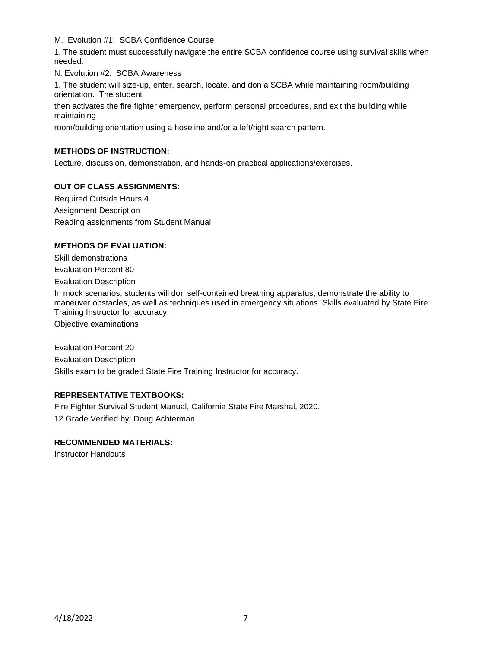M. Evolution #1: SCBA Confidence Course

1. The student must successfully navigate the entire SCBA confidence course using survival skills when needed.

N. Evolution #2: SCBA Awareness

1. The student will size-up, enter, search, locate, and don a SCBA while maintaining room/building orientation. The student

then activates the fire fighter emergency, perform personal procedures, and exit the building while maintaining

room/building orientation using a hoseline and/or a left/right search pattern.

## **METHODS OF INSTRUCTION:**

Lecture, discussion, demonstration, and hands-on practical applications/exercises.

# **OUT OF CLASS ASSIGNMENTS:**

Required Outside Hours 4 Assignment Description Reading assignments from Student Manual

### **METHODS OF EVALUATION:**

Skill demonstrations Evaluation Percent 80 Evaluation Description

In mock scenarios, students will don self-contained breathing apparatus, demonstrate the ability to maneuver obstacles, as well as techniques used in emergency situations. Skills evaluated by State Fire Training Instructor for accuracy.

Objective examinations

Evaluation Percent 20 Evaluation Description Skills exam to be graded State Fire Training Instructor for accuracy.

## **REPRESENTATIVE TEXTBOOKS:**

Fire Fighter Survival Student Manual, California State Fire Marshal, 2020. 12 Grade Verified by: Doug Achterman

### **RECOMMENDED MATERIALS:**

Instructor Handouts